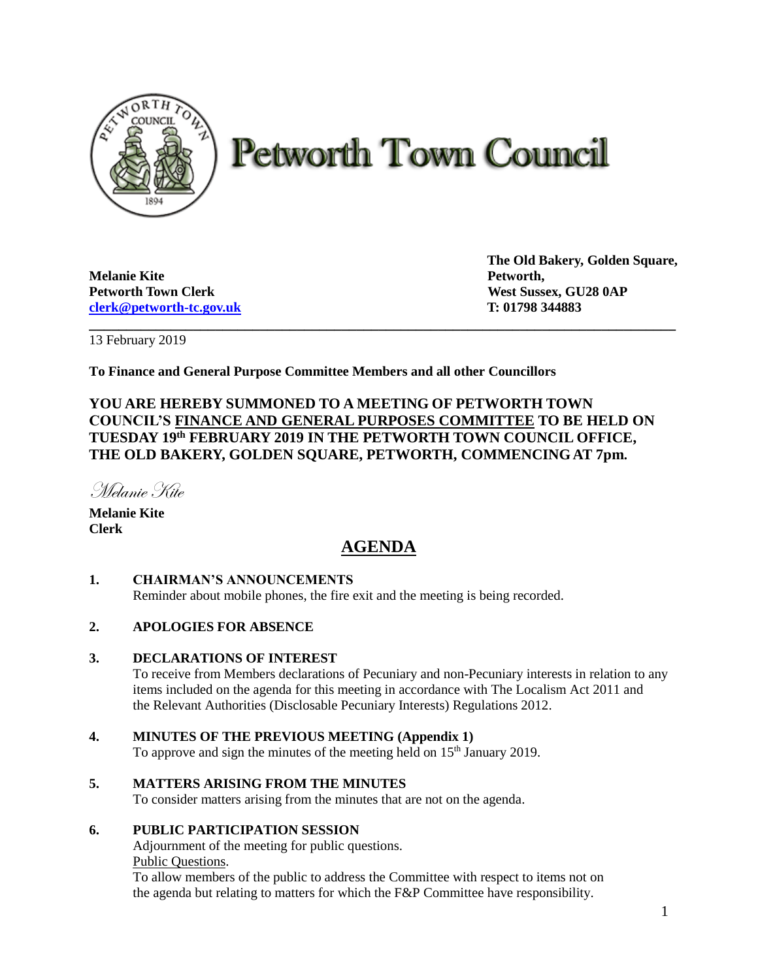

# **Petworth Town Council**

**Melanie Kite Petworth, Petworth Town Clerk West Sussex, GU28 0AP [clerk@petworth-tc.gov.uk](mailto:clerk@petworth-tc.gov.uk) T: 01798 344883**

**The Old Bakery, Golden Square,**

13 February 2019

**To Finance and General Purpose Committee Members and all other Councillors**

# **YOU ARE HEREBY SUMMONED TO A MEETING OF PETWORTH TOWN COUNCIL'S FINANCE AND GENERAL PURPOSES COMMITTEE TO BE HELD ON TUESDAY 19 th FEBRUARY 2019 IN THE PETWORTH TOWN COUNCIL OFFICE, THE OLD BAKERY, GOLDEN SQUARE, PETWORTH, COMMENCING AT 7pm.**

**\_\_\_\_\_\_\_\_\_\_\_\_\_\_\_\_\_\_\_\_\_\_\_\_\_\_\_\_\_\_\_\_\_\_\_\_\_\_\_\_\_\_\_\_\_\_\_\_\_\_\_\_\_\_\_\_\_\_\_\_\_\_\_\_\_\_\_\_\_\_\_\_\_\_\_\_\_\_\_**

Melanie Kite

**Melanie Kite Clerk**

# **AGENDA**

#### **1. CHAIRMAN'S ANNOUNCEMENTS**

Reminder about mobile phones, the fire exit and the meeting is being recorded.

# **2. APOLOGIES FOR ABSENCE**

# **3. DECLARATIONS OF INTEREST**

To receive from Members declarations of Pecuniary and non-Pecuniary interests in relation to any items included on the agenda for this meeting in accordance with The Localism Act 2011 and the Relevant Authorities (Disclosable Pecuniary Interests) Regulations 2012.

# **4. MINUTES OF THE PREVIOUS MEETING (Appendix 1)**

To approve and sign the minutes of the meeting held on  $15<sup>th</sup>$  January 2019.

# **5. MATTERS ARISING FROM THE MINUTES**

To consider matters arising from the minutes that are not on the agenda.

# **6. PUBLIC PARTICIPATION SESSION**

Adjournment of the meeting for public questions. Public Questions.

To allow members of the public to address the Committee with respect to items not on the agenda but relating to matters for which the F&P Committee have responsibility.